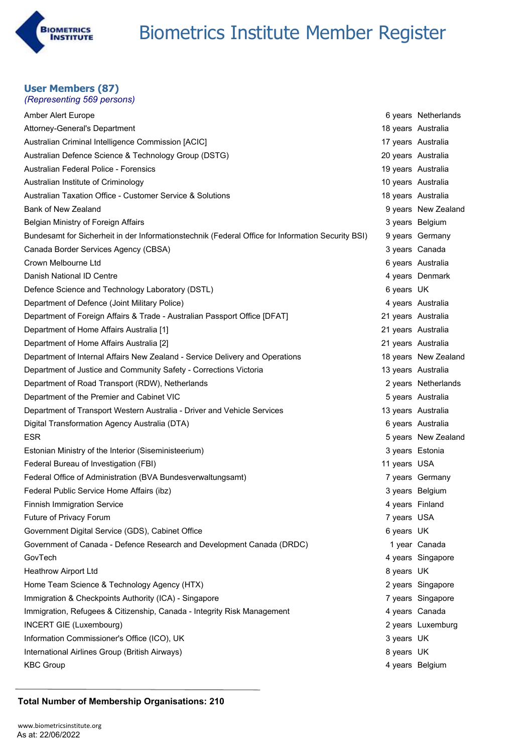

#### **User Members (87)** *(Representing 569 persons)*

| Amber Alert Europe                                                                                |                    | 6 years Netherlands  |
|---------------------------------------------------------------------------------------------------|--------------------|----------------------|
| Attorney-General's Department                                                                     | 18 years Australia |                      |
| Australian Criminal Intelligence Commission [ACIC]                                                | 17 years Australia |                      |
| Australian Defence Science & Technology Group (DSTG)                                              | 20 years Australia |                      |
| Australian Federal Police - Forensics                                                             | 19 years Australia |                      |
| Australian Institute of Criminology                                                               | 10 years Australia |                      |
| Australian Taxation Office - Customer Service & Solutions                                         | 18 years Australia |                      |
| <b>Bank of New Zealand</b>                                                                        |                    | 9 years New Zealand  |
| Belgian Ministry of Foreign Affairs                                                               |                    | 3 years Belgium      |
| Bundesamt for Sicherheit in der Informationstechnik (Federal Office for Information Security BSI) |                    | 9 years Germany      |
| Canada Border Services Agency (CBSA)                                                              |                    | 3 years Canada       |
| Crown Melbourne Ltd                                                                               |                    | 6 years Australia    |
| Danish National ID Centre                                                                         |                    | 4 years Denmark      |
| Defence Science and Technology Laboratory (DSTL)                                                  | 6 years UK         |                      |
| Department of Defence (Joint Military Police)                                                     |                    | 4 years Australia    |
| Department of Foreign Affairs & Trade - Australian Passport Office [DFAT]                         | 21 years Australia |                      |
| Department of Home Affairs Australia [1]                                                          | 21 years Australia |                      |
| Department of Home Affairs Australia [2]                                                          | 21 years Australia |                      |
| Department of Internal Affairs New Zealand - Service Delivery and Operations                      |                    | 18 years New Zealand |
| Department of Justice and Community Safety - Corrections Victoria                                 | 13 years Australia |                      |
| Department of Road Transport (RDW), Netherlands                                                   |                    | 2 years Netherlands  |
| Department of the Premier and Cabinet VIC                                                         |                    | 5 years Australia    |
| Department of Transport Western Australia - Driver and Vehicle Services                           | 13 years Australia |                      |
| Digital Transformation Agency Australia (DTA)                                                     |                    | 6 years Australia    |
| <b>ESR</b>                                                                                        |                    | 5 years New Zealand  |
| Estonian Ministry of the Interior (Siseministeerium)                                              | 3 years Estonia    |                      |
| Federal Bureau of Investigation (FBI)                                                             | 11 years USA       |                      |
| Federal Office of Administration (BVA Bundesverwaltungsamt)                                       |                    | 7 years Germany      |
| Federal Public Service Home Affairs (ibz)                                                         |                    | 3 years Belgium      |
| <b>Finnish Immigration Service</b>                                                                | 4 years Finland    |                      |
| Future of Privacy Forum                                                                           | 7 years USA        |                      |
| Government Digital Service (GDS), Cabinet Office                                                  | 6 years UK         |                      |
| Government of Canada - Defence Research and Development Canada (DRDC)                             |                    | 1 year Canada        |
| GovTech                                                                                           |                    | 4 years Singapore    |
| <b>Heathrow Airport Ltd</b>                                                                       | 8 years UK         |                      |
| Home Team Science & Technology Agency (HTX)                                                       |                    | 2 years Singapore    |
| Immigration & Checkpoints Authority (ICA) - Singapore                                             |                    | 7 years Singapore    |
| Immigration, Refugees & Citizenship, Canada - Integrity Risk Management                           |                    | 4 years Canada       |
| <b>INCERT GIE (Luxembourg)</b>                                                                    |                    | 2 years Luxemburg    |
| Information Commissioner's Office (ICO), UK                                                       | 3 years UK         |                      |
| International Airlines Group (British Airways)                                                    | 8 years UK         |                      |
| <b>KBC Group</b>                                                                                  |                    | 4 years Belgium      |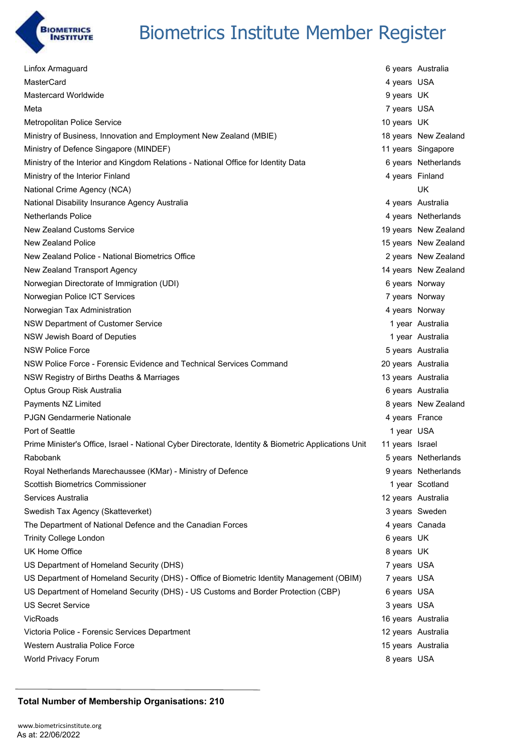

| Linfox Armaguard                                                                                     |                    | 6 years Australia    |
|------------------------------------------------------------------------------------------------------|--------------------|----------------------|
| MasterCard                                                                                           | 4 years USA        |                      |
| Mastercard Worldwide                                                                                 | 9 years UK         |                      |
| Meta                                                                                                 | 7 years USA        |                      |
| <b>Metropolitan Police Service</b>                                                                   | 10 years UK        |                      |
| Ministry of Business, Innovation and Employment New Zealand (MBIE)                                   |                    | 18 years New Zealand |
| Ministry of Defence Singapore (MINDEF)                                                               |                    | 11 years Singapore   |
| Ministry of the Interior and Kingdom Relations - National Office for Identity Data                   |                    | 6 years Netherlands  |
| Ministry of the Interior Finland                                                                     | 4 years Finland    |                      |
| National Crime Agency (NCA)                                                                          |                    | UK                   |
| National Disability Insurance Agency Australia                                                       |                    | 4 years Australia    |
| <b>Netherlands Police</b>                                                                            |                    | 4 years Netherlands  |
| New Zealand Customs Service                                                                          |                    | 19 years New Zealand |
| <b>New Zealand Police</b>                                                                            |                    | 15 years New Zealand |
| New Zealand Police - National Biometrics Office                                                      |                    | 2 years New Zealand  |
| New Zealand Transport Agency                                                                         |                    | 14 years New Zealand |
| Norwegian Directorate of Immigration (UDI)                                                           | 6 years Norway     |                      |
| Norwegian Police ICT Services                                                                        | 7 years Norway     |                      |
| Norwegian Tax Administration                                                                         | 4 years Norway     |                      |
| NSW Department of Customer Service                                                                   |                    | 1 year Australia     |
| NSW Jewish Board of Deputies                                                                         |                    | 1 year Australia     |
| <b>NSW Police Force</b>                                                                              |                    | 5 years Australia    |
| NSW Police Force - Forensic Evidence and Technical Services Command                                  | 20 years Australia |                      |
| NSW Registry of Births Deaths & Marriages                                                            | 13 years Australia |                      |
| Optus Group Risk Australia                                                                           |                    | 6 years Australia    |
| Payments NZ Limited                                                                                  |                    | 8 years New Zealand  |
| <b>PJGN Gendarmerie Nationale</b>                                                                    | 4 years France     |                      |
| Port of Seattle                                                                                      | 1 year USA         |                      |
| Prime Minister's Office, Israel - National Cyber Directorate, Identity & Biometric Applications Unit | 11 years Israel    |                      |
| Rabobank                                                                                             |                    | 5 years Netherlands  |
| Royal Netherlands Marechaussee (KMar) - Ministry of Defence                                          |                    | 9 years Netherlands  |
| <b>Scottish Biometrics Commissioner</b>                                                              |                    | 1 year Scotland      |
| Services Australia                                                                                   | 12 years Australia |                      |
| Swedish Tax Agency (Skatteverket)                                                                    |                    | 3 years Sweden       |
| The Department of National Defence and the Canadian Forces                                           | 4 years Canada     |                      |
| <b>Trinity College London</b>                                                                        | 6 years UK         |                      |
| UK Home Office                                                                                       | 8 years UK         |                      |
| US Department of Homeland Security (DHS)                                                             | 7 years USA        |                      |
| US Department of Homeland Security (DHS) - Office of Biometric Identity Management (OBIM)            | 7 years USA        |                      |
| US Department of Homeland Security (DHS) - US Customs and Border Protection (CBP)                    | 6 years USA        |                      |
| <b>US Secret Service</b>                                                                             | 3 years USA        |                      |
| VicRoads                                                                                             | 16 years Australia |                      |
| Victoria Police - Forensic Services Department                                                       | 12 years Australia |                      |
| Western Australia Police Force                                                                       | 15 years Australia |                      |
| World Privacy Forum                                                                                  | 8 years USA        |                      |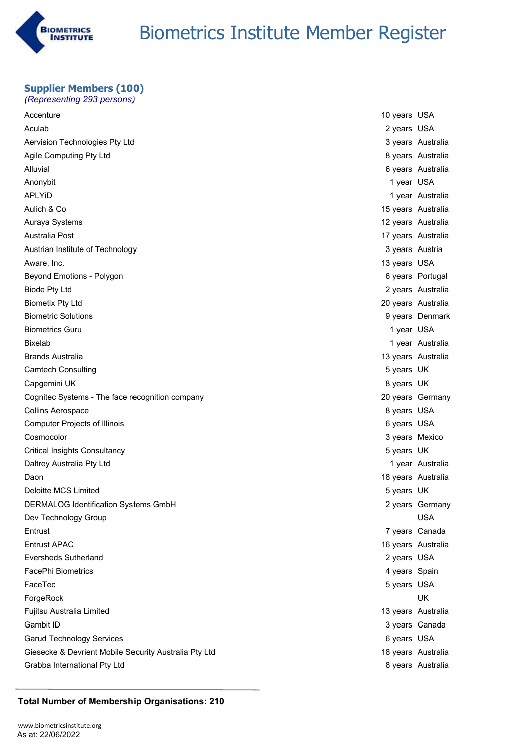

#### **Supplier Members (100)** *(Representing 293 persons)*

| Accenture                                             | 10 years USA    |                    |
|-------------------------------------------------------|-----------------|--------------------|
| Aculab                                                | 2 years USA     |                    |
| Aervision Technologies Pty Ltd                        |                 | 3 years Australia  |
| Agile Computing Pty Ltd                               |                 | 8 years Australia  |
| Alluvial                                              |                 | 6 years Australia  |
| Anonybit                                              | 1 year USA      |                    |
| <b>APLYID</b>                                         |                 | 1 year Australia   |
| Aulich & Co                                           |                 | 15 years Australia |
| Auraya Systems                                        |                 | 12 years Australia |
| Australia Post                                        |                 | 17 years Australia |
| Austrian Institute of Technology                      | 3 years Austria |                    |
| Aware, Inc.                                           | 13 years USA    |                    |
| Beyond Emotions - Polygon                             |                 | 6 years Portugal   |
| <b>Biode Pty Ltd</b>                                  |                 | 2 years Australia  |
| <b>Biometix Pty Ltd</b>                               |                 | 20 years Australia |
| <b>Biometric Solutions</b>                            |                 | 9 years Denmark    |
| <b>Biometrics Guru</b>                                | 1 year USA      |                    |
| <b>Bixelab</b>                                        |                 | 1 year Australia   |
| <b>Brands Australia</b>                               |                 | 13 years Australia |
| <b>Camtech Consulting</b>                             | 5 years UK      |                    |
| Capgemini UK                                          | 8 years UK      |                    |
| Cognitec Systems - The face recognition company       |                 | 20 years Germany   |
| Collins Aerospace                                     | 8 years USA     |                    |
| <b>Computer Projects of Illinois</b>                  | 6 years USA     |                    |
| Cosmocolor                                            | 3 years Mexico  |                    |
| Critical Insights Consultancy                         | 5 years UK      |                    |
| Daltrey Australia Pty Ltd                             |                 | 1 year Australia   |
| Daon                                                  |                 | 18 years Australia |
| Deloitte MCS Limited                                  | 5 years UK      |                    |
| <b>DERMALOG Identification Systems GmbH</b>           |                 | 2 years Germany    |
| Dev Technology Group                                  |                 | <b>USA</b>         |
| Entrust                                               |                 | 7 years Canada     |
| <b>Entrust APAC</b>                                   |                 | 16 years Australia |
| <b>Eversheds Sutherland</b>                           | 2 years USA     |                    |
| <b>FacePhi Biometrics</b>                             | 4 years Spain   |                    |
| FaceTec                                               | 5 years USA     |                    |
| ForgeRock                                             |                 | UK                 |
| Fujitsu Australia Limited                             |                 | 13 years Australia |
| Gambit ID                                             |                 | 3 years Canada     |
| Garud Technology Services                             | 6 years USA     |                    |
| Giesecke & Devrient Mobile Security Australia Pty Ltd |                 | 18 years Australia |
| Grabba International Pty Ltd                          |                 | 8 years Australia  |
|                                                       |                 |                    |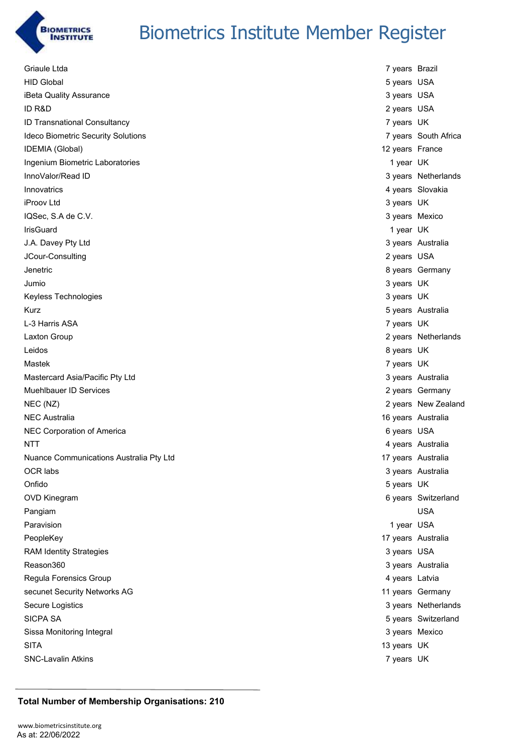

| Griaule Ltda                            | 7 years Brazil  |                      |
|-----------------------------------------|-----------------|----------------------|
| <b>HID Global</b>                       | 5 years USA     |                      |
| iBeta Quality Assurance                 | 3 years USA     |                      |
| ID R&D                                  | 2 years USA     |                      |
| ID Transnational Consultancy            | 7 years UK      |                      |
| Ideco Biometric Security Solutions      |                 | 7 years South Africa |
| IDEMIA (Global)                         | 12 years France |                      |
| Ingenium Biometric Laboratories         | 1 year UK       |                      |
| InnoValor/Read ID                       |                 | 3 years Netherlands  |
| Innovatrics                             |                 | 4 years Slovakia     |
| iProov Ltd                              | 3 years UK      |                      |
| IQSec, S.A de C.V.                      | 3 years Mexico  |                      |
| IrisGuard                               | 1 year UK       |                      |
| J.A. Davey Pty Ltd                      |                 | 3 years Australia    |
| JCour-Consulting                        | 2 years USA     |                      |
| Jenetric                                |                 | 8 years Germany      |
| Jumio                                   | 3 years UK      |                      |
| Keyless Technologies                    | 3 years UK      |                      |
| Kurz                                    |                 | 5 years Australia    |
| L-3 Harris ASA                          | 7 years UK      |                      |
| Laxton Group                            |                 | 2 years Netherlands  |
| Leidos                                  | 8 years UK      |                      |
| Mastek                                  | 7 years UK      |                      |
| Mastercard Asia/Pacific Pty Ltd         |                 | 3 years Australia    |
| Muehlbauer ID Services                  |                 | 2 years Germany      |
| NEC (NZ)                                |                 | 2 years New Zealand  |
| <b>NEC Australia</b>                    |                 | 16 years Australia   |
| NEC Corporation of America              | 6 years USA     |                      |
| <b>NTT</b>                              |                 | 4 years Australia    |
| Nuance Communications Australia Pty Ltd |                 | 17 years Australia   |
| OCR labs                                |                 | 3 years Australia    |
| Onfido                                  | 5 years UK      |                      |
| <b>OVD Kinegram</b>                     |                 | 6 years Switzerland  |
| Pangiam                                 |                 | <b>USA</b>           |
| Paravision                              | 1 year USA      |                      |
| PeopleKey                               |                 | 17 years Australia   |
| <b>RAM Identity Strategies</b>          | 3 years USA     |                      |
| Reason360                               |                 | 3 years Australia    |
| Regula Forensics Group                  | 4 years Latvia  |                      |
| secunet Security Networks AG            |                 | 11 years Germany     |
| Secure Logistics                        |                 | 3 years Netherlands  |
| <b>SICPA SA</b>                         |                 | 5 years Switzerland  |
| Sissa Monitoring Integral               | 3 years Mexico  |                      |
| <b>SITA</b>                             | 13 years UK     |                      |
| <b>SNC-Lavalin Atkins</b>               | 7 years UK      |                      |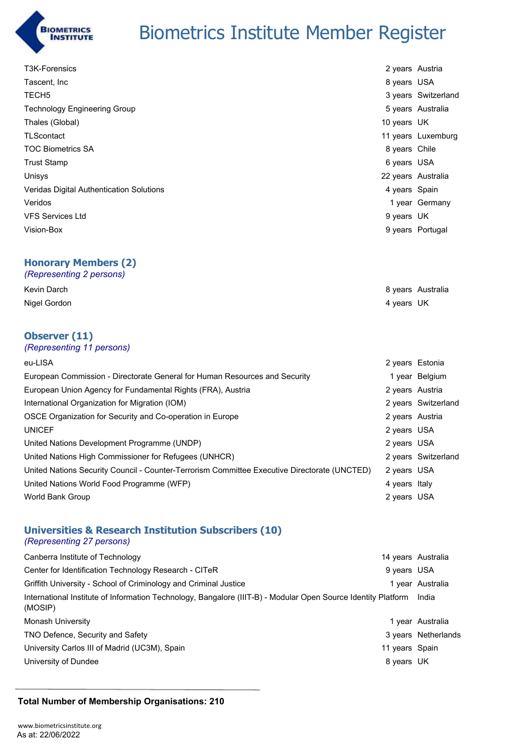

| <b>T3K-Forensics</b>                     | 2 years Austria |                     |
|------------------------------------------|-----------------|---------------------|
| Tascent, Inc                             | 8 years USA     |                     |
| TECH <sub>5</sub>                        |                 | 3 years Switzerland |
| <b>Technology Engineering Group</b>      |                 | 5 years Australia   |
| Thales (Global)                          | 10 years UK     |                     |
| <b>TLScontact</b>                        |                 | 11 years Luxemburg  |
| <b>TOC Biometrics SA</b>                 | 8 years Chile   |                     |
| Trust Stamp                              | 6 years USA     |                     |
| Unisys                                   |                 | 22 years Australia  |
| Veridas Digital Authentication Solutions | 4 years Spain   |                     |
| Veridos                                  |                 | 1 year Germany      |
| <b>VFS Services Ltd</b>                  | 9 years UK      |                     |
| Vision-Box                               |                 | 9 years Portugal    |
|                                          |                 |                     |
| <b>Honorary Members (2)</b>              |                 |                     |

### *(Representing 2 persons)*

| Kevin Darch  | 8 years Australia |
|--------------|-------------------|
| Nigel Gordon | 4 years UK        |

### **Observer (11)**

| (Representing 11 persons) |  |
|---------------------------|--|
|---------------------------|--|

| eu-LISA                                                                                      | 2 years Estonia |                     |
|----------------------------------------------------------------------------------------------|-----------------|---------------------|
| European Commission - Directorate General for Human Resources and Security                   |                 | 1 year Belgium      |
| European Union Agency for Fundamental Rights (FRA), Austria                                  | 2 years Austria |                     |
| International Organization for Migration (IOM)                                               |                 | 2 years Switzerland |
| OSCE Organization for Security and Co-operation in Europe                                    | 2 years Austria |                     |
| <b>UNICEF</b>                                                                                | 2 years USA     |                     |
| United Nations Development Programme (UNDP)                                                  | 2 years USA     |                     |
| United Nations High Commissioner for Refugees (UNHCR)                                        |                 | 2 years Switzerland |
| United Nations Security Council - Counter-Terrorism Committee Executive Directorate (UNCTED) | 2 years USA     |                     |
| United Nations World Food Programme (WFP)                                                    | 4 years Italy   |                     |
| World Bank Group                                                                             | 2 years USA     |                     |
|                                                                                              |                 |                     |

### **Universities & Research Institution Subscribers (10)**

### *(Representing 27 persons)*

| Canberra Institute of Technology                                                                                               |                | 14 years Australia  |
|--------------------------------------------------------------------------------------------------------------------------------|----------------|---------------------|
| Center for Identification Technology Research - CITeR                                                                          | 9 years USA    |                     |
| Griffith University - School of Criminology and Criminal Justice                                                               |                | 1 year Australia    |
| International Institute of Information Technology, Bangalore (IIIT-B) - Modular Open Source Identity Platform India<br>(MOSIP) |                |                     |
| Monash University                                                                                                              |                | 1 year Australia    |
| TNO Defence, Security and Safety                                                                                               |                | 3 years Netherlands |
| University Carlos III of Madrid (UC3M), Spain                                                                                  | 11 years Spain |                     |
| University of Dundee                                                                                                           | 8 years UK     |                     |